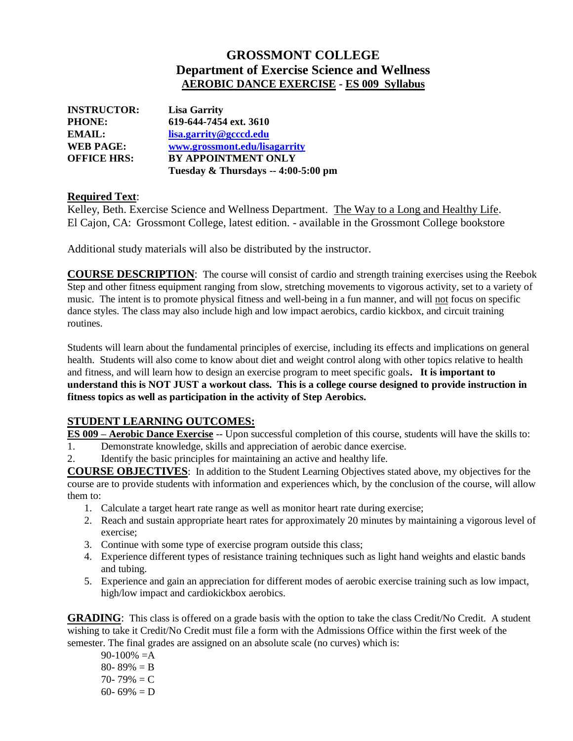# **GROSSMONT COLLEGE Department of Exercise Science and Wellness AEROBIC DANCE EXERCISE - ES 009 Syllabus**

| <b>INSTRUCTOR:</b> | <b>Lisa Garrity</b>                 |
|--------------------|-------------------------------------|
| <b>PHONE:</b>      | 619-644-7454 ext. 3610              |
| EMAIL:             | lisa.garrity@gcccd.edu              |
| <b>WEB PAGE:</b>   | www.grossmont.edu/lisagarrity       |
| <b>OFFICE HRS:</b> | <b>BY APPOINTMENT ONLY</b>          |
|                    | Tuesday & Thursdays -- 4:00-5:00 pm |

#### **Required Text**:

Kelley, Beth. Exercise Science and Wellness Department. The Way to a Long and Healthy Life. El Cajon, CA: Grossmont College, latest edition. - available in the Grossmont College bookstore

Additional study materials will also be distributed by the instructor.

**COURSE DESCRIPTION**: The course will consist of cardio and strength training exercises using the Reebok Step and other fitness equipment ranging from slow, stretching movements to vigorous activity, set to a variety of music. The intent is to promote physical fitness and well-being in a fun manner, and will not focus on specific dance styles. The class may also include high and low impact aerobics, cardio kickbox, and circuit training routines.

Students will learn about the fundamental principles of exercise, including its effects and implications on general health. Students will also come to know about diet and weight control along with other topics relative to health and fitness, and will learn how to design an exercise program to meet specific goals**. It is important to understand this is NOT JUST a workout class. This is a college course designed to provide instruction in fitness topics as well as participation in the activity of Step Aerobics.**

### **STUDENT LEARNING OUTCOMES:**

**ES 009 – Aerobic Dance Exercise** -- Upon successful completion of this course, students will have the skills to:

- 1. Demonstrate knowledge, skills and appreciation of aerobic dance exercise.
- 2. Identify the basic principles for maintaining an active and healthy life.

**COURSE OBJECTIVES**: In addition to the Student Learning Objectives stated above, my objectives for the course are to provide students with information and experiences which, by the conclusion of the course, will allow them to:

- 1. Calculate a target heart rate range as well as monitor heart rate during exercise;
- 2. Reach and sustain appropriate heart rates for approximately 20 minutes by maintaining a vigorous level of exercise;
- 3. Continue with some type of exercise program outside this class;
- 4. Experience different types of resistance training techniques such as light hand weights and elastic bands and tubing.
- 5. Experience and gain an appreciation for different modes of aerobic exercise training such as low impact, high/low impact and cardiokickbox aerobics.

**GRADING**: This class is offered on a grade basis with the option to take the class Credit/No Credit. A student wishing to take it Credit/No Credit must file a form with the Admissions Office within the first week of the semester. The final grades are assigned on an absolute scale (no curves) which is:

 $90-100\% = A$ 80- 89%  $=$  B 70- 79%  $= C$ 60- 69% = D